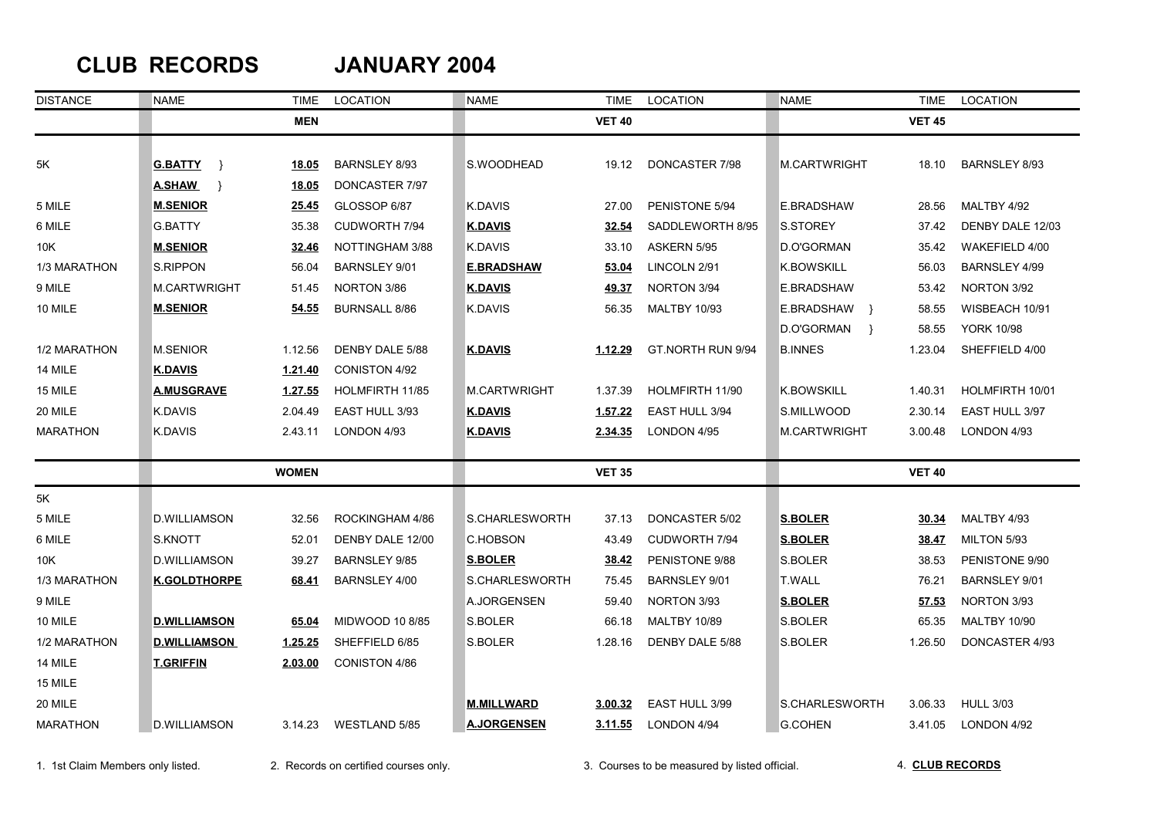## **CLUB RECORDS JANUARY 2004**

| <b>DISTANCE</b> | <b>NAME</b>           | TIME           | <b>LOCATION</b>      | <b>NAME</b>         | <b>TIME</b>   | LOCATION             | <b>NAME</b>                 |               | LOCATION             |
|-----------------|-----------------------|----------------|----------------------|---------------------|---------------|----------------------|-----------------------------|---------------|----------------------|
|                 |                       | <b>MEN</b>     |                      |                     | <b>VET 40</b> |                      |                             | <b>VET 45</b> |                      |
|                 |                       |                |                      |                     |               |                      |                             |               |                      |
| 5Κ              | <b>G.BATTY</b><br>- } | 18.05          | <b>BARNSLEY 8/93</b> | S.WOODHEAD          | 19.12         | DONCASTER 7/98       | M.CARTWRIGHT                | 18.10         | <b>BARNSLEY 8/93</b> |
|                 | <b>A.SHAW</b><br>- }  | 18.05          | DONCASTER 7/97       |                     |               |                      |                             |               |                      |
| 5 MILE          | <b>M.SENIOR</b>       | 25.45          | GLOSSOP 6/87         | K.DAVIS             | 27.00         | PENISTONE 5/94       | E.BRADSHAW                  | 28.56         | MALTBY 4/92          |
| 6 MILE          | <b>G.BATTY</b>        | 35.38          | <b>CUDWORTH 7/94</b> | <b>K.DAVIS</b>      | 32.54         | SADDLEWORTH 8/95     | S.STOREY                    | 37.42         | DENBY DALE 12/03     |
| 10K             | <b>M.SENIOR</b>       | 32.46          | NOTTINGHAM 3/88      | K.DAVIS             | 33.10         | ASKERN 5/95          | D.O'GORMAN                  | 35.42         | WAKEFIELD 4/00       |
| 1/3 MARATHON    | <b>S.RIPPON</b>       | 56.04          | BARNSLEY 9/01        | <b>E.BRADSHAW</b>   | 53.04         | LINCOLN 2/91         | <b>K.BOWSKILL</b>           | 56.03         | BARNSLEY 4/99        |
| 9 MILE          | M.CARTWRIGHT          | 51.45          | NORTON 3/86          | <b>K.DAVIS</b>      | 49.37         | NORTON 3/94          | E.BRADSHAW                  | 53.42         | NORTON 3/92          |
| 10 MILE         | <b>M.SENIOR</b>       | 54.55          | <b>BURNSALL 8/86</b> | <b>K.DAVIS</b>      | 56.35         | <b>MALTBY 10/93</b>  | E.BRADSHAW }                | 58.55         | WISBEACH 10/91       |
|                 |                       |                |                      |                     |               |                      | D.O'GORMAN<br>$\rightarrow$ | 58.55         | <b>YORK 10/98</b>    |
| 1/2 MARATHON    | <b>M.SENIOR</b>       | 1.12.56        | DENBY DALE 5/88      | <b>K.DAVIS</b>      | 1.12.29       | GT.NORTH RUN 9/94    | <b>B.INNES</b>              | 1.23.04       | SHEFFIELD 4/00       |
| 14 MILE         | <b>K.DAVIS</b>        | 1.21.40        | <b>CONISTON 4/92</b> |                     |               |                      |                             |               |                      |
| 15 MILE         | <b>A.MUSGRAVE</b>     | <u>1.27.55</u> | HOLMFIRTH 11/85      | <b>M.CARTWRIGHT</b> | 1.37.39       | HOLMFIRTH 11/90      | <b>K.BOWSKILL</b>           | 1.40.31       | HOLMFIRTH 10/01      |
| 20 MILE         | K.DAVIS               | 2.04.49        | EAST HULL 3/93       | <b>K.DAVIS</b>      | 1.57.22       | EAST HULL 3/94       | S.MILLWOOD                  | 2.30.14       | EAST HULL 3/97       |
| <b>MARATHON</b> | K.DAVIS               | 2.43.11        | LONDON 4/93          | <b>K.DAVIS</b>      | 2.34.35       | LONDON 4/95          | M.CARTWRIGHT                | 3.00.48       | LONDON 4/93          |
|                 |                       | <b>WOMEN</b>   |                      |                     | <b>VET 35</b> |                      |                             | <b>VET 40</b> |                      |
| 5K              |                       |                |                      |                     |               |                      |                             |               |                      |
| 5 MILE          | <b>D.WILLIAMSON</b>   | 32.56          | ROCKINGHAM 4/86      | S.CHARLESWORTH      | 37.13         | DONCASTER 5/02       | <b>S.BOLER</b>              | <u>30.34</u>  | MALTBY 4/93          |
| 6 MILE          | S.KNOTT               | 52.01          | DENBY DALE 12/00     | C.HOBSON            | 43.49         | CUDWORTH 7/94        | <b>S.BOLER</b>              | <u>38.47</u>  | MILTON 5/93          |
| 10K             | <b>D.WILLIAMSON</b>   | 39.27          | <b>BARNSLEY 9/85</b> | <b>S.BOLER</b>      | 38.42         | PENISTONE 9/88       | S.BOLER                     | 38.53         | PENISTONE 9/90       |
| 1/3 MARATHON    | <b>K.GOLDTHORPE</b>   | 68.41          | <b>BARNSLEY 4/00</b> | S.CHARLESWORTH      | 75.45         | <b>BARNSLEY 9/01</b> | <b>T.WALL</b>               | 76.21         | <b>BARNSLEY 9/01</b> |
| 9 MILE          |                       |                |                      | A.JORGENSEN         | 59.40         | NORTON 3/93          | <b>S.BOLER</b>              | 57.53         | NORTON 3/93          |
| 10 MILE         | <b>D.WILLIAMSON</b>   | 65.04          | MIDWOOD 10 8/85      | S.BOLER             | 66.18         | <b>MALTBY 10/89</b>  | S.BOLER                     | 65.35         | <b>MALTBY 10/90</b>  |
| 1/2 MARATHON    | <b>D.WILLIAMSON</b>   | 1.25.25        | SHEFFIELD 6/85       | S.BOLER             | 1.28.16       | DENBY DALE 5/88      | S.BOLER                     | 1.26.50       | DONCASTER 4/93       |
| 14 MILE         | <b>T.GRIFFIN</b>      | 2.03.00        | CONISTON 4/86        |                     |               |                      |                             |               |                      |
| 15 MILE         |                       |                |                      |                     |               |                      |                             |               |                      |
| 20 MILE         |                       |                |                      | <b>M.MILLWARD</b>   | 3.00.32       | EAST HULL 3/99       | S.CHARLESWORTH              | 3.06.33       | <b>HULL 3/03</b>     |
| <b>MARATHON</b> | D.WILLIAMSON          | 3.14.23        | WESTLAND 5/85        | <b>A.JORGENSEN</b>  | 3.11.55       | <b>LONDON 4/94</b>   | <b>G.COHEN</b>              | 3.41.05       | LONDON 4/92          |

1. 1st Claim Members only listed. 2. Records on certified courses only. 3. Courses to be measured by listed official.

4. **CLUB RECORDS**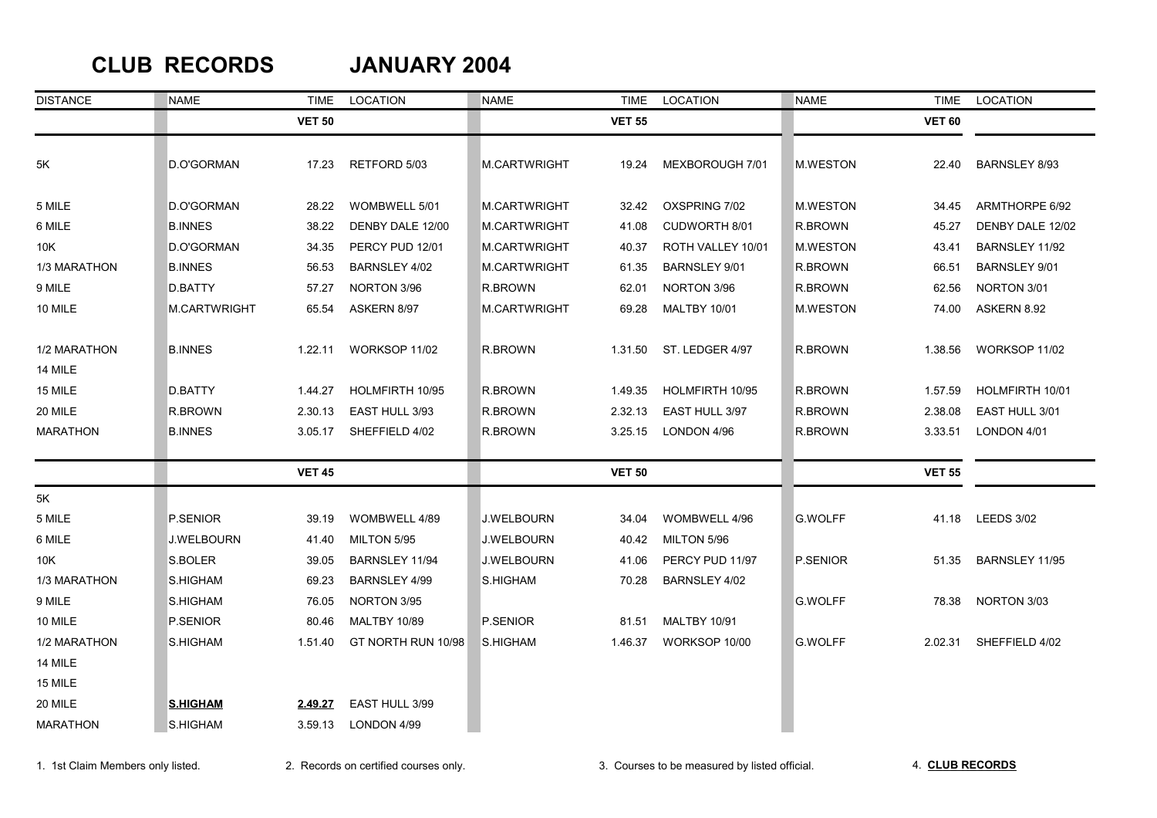### **CLUB RECORDS JANUARY 2004**

| <b>DISTANCE</b> | <b>NAME</b>         | <b>TIME</b>   | LOCATION            | <b>NAME</b>         | TIME          | LOCATION             | <b>NAME</b>     | TIME          | LOCATION         |
|-----------------|---------------------|---------------|---------------------|---------------------|---------------|----------------------|-----------------|---------------|------------------|
|                 |                     | <b>VET 50</b> |                     |                     | <b>VET 55</b> |                      |                 | <b>VET 60</b> |                  |
| 5K              | D.O'GORMAN          | 17.23         | RETFORD 5/03        | <b>M.CARTWRIGHT</b> | 19.24         | MEXBOROUGH 7/01      | M.WESTON        | 22.40         | BARNSLEY 8/93    |
| 5 MILE          | D.O'GORMAN          | 28.22         | WOMBWELL 5/01       | M.CARTWRIGHT        | 32.42         | OXSPRING 7/02        | M.WESTON        | 34.45         | ARMTHORPE 6/92   |
| 6 MILE          | <b>B.INNES</b>      | 38.22         | DENBY DALE 12/00    | M.CARTWRIGHT        | 41.08         | CUDWORTH 8/01        | R.BROWN         | 45.27         | DENBY DALE 12/02 |
| 10K             | D.O'GORMAN          | 34.35         | PERCY PUD 12/01     | M.CARTWRIGHT        | 40.37         | ROTH VALLEY 10/01    | <b>M.WESTON</b> | 43.41         | BARNSLEY 11/92   |
| 1/3 MARATHON    | <b>B.INNES</b>      | 56.53         | BARNSLEY 4/02       | M.CARTWRIGHT        | 61.35         | <b>BARNSLEY 9/01</b> | R.BROWN         | 66.51         | BARNSLEY 9/01    |
| 9 MILE          | D.BATTY             | 57.27         | NORTON 3/96         | R.BROWN             | 62.01         | NORTON 3/96          | R.BROWN         | 62.56         | NORTON 3/01      |
| 10 MILE         | <b>M.CARTWRIGHT</b> | 65.54         | ASKERN 8/97         | M.CARTWRIGHT        | 69.28         | <b>MALTBY 10/01</b>  | <b>M.WESTON</b> | 74.00         | ASKERN 8.92      |
| 1/2 MARATHON    | <b>B.INNES</b>      | 1.22.11       | WORKSOP 11/02       | R.BROWN             | 1.31.50       | ST. LEDGER 4/97      | R.BROWN         | 1.38.56       | WORKSOP 11/02    |
| 14 MILE         |                     |               |                     |                     |               |                      |                 |               |                  |
| 15 MILE         | D.BATTY             | 1.44.27       | HOLMFIRTH 10/95     | R.BROWN             | 1.49.35       | HOLMFIRTH 10/95      | R.BROWN         | 1.57.59       | HOLMFIRTH 10/01  |
| 20 MILE         | R.BROWN             | 2.30.13       | EAST HULL 3/93      | R.BROWN             | 2.32.13       | EAST HULL 3/97       | R.BROWN         | 2.38.08       | EAST HULL 3/01   |
| <b>MARATHON</b> | <b>B.INNES</b>      | 3.05.17       | SHEFFIELD 4/02      | R.BROWN             | 3.25.15       | LONDON 4/96          | R.BROWN         | 3.33.51       | LONDON 4/01      |
|                 |                     | <b>VET 45</b> |                     |                     | <b>VET 50</b> |                      |                 | <b>VET 55</b> |                  |
| 5K              |                     |               |                     |                     |               |                      |                 |               |                  |
| 5 MILE          | P.SENIOR            | 39.19         | WOMBWELL 4/89       | J.WELBOURN          | 34.04         | WOMBWELL 4/96        | <b>G.WOLFF</b>  | 41.18         | LEEDS 3/02       |
| 6 MILE          | <b>J.WELBOURN</b>   | 41.40         | MILTON 5/95         | J.WELBOURN          | 40.42         | MILTON 5/96          |                 |               |                  |
| 10K             | S.BOLER             | 39.05         | BARNSLEY 11/94      | J.WELBOURN          | 41.06         | PERCY PUD 11/97      | P.SENIOR        | 51.35         | BARNSLEY 11/95   |
| 1/3 MARATHON    | S.HIGHAM            | 69.23         | BARNSLEY 4/99       | S.HIGHAM            | 70.28         | BARNSLEY 4/02        |                 |               |                  |
| 9 MILE          | S.HIGHAM            | 76.05         | NORTON 3/95         |                     |               |                      | <b>G.WOLFF</b>  | 78.38         | NORTON 3/03      |
| 10 MILE         | P.SENIOR            | 80.46         | <b>MALTBY 10/89</b> | P.SENIOR            | 81.51         | <b>MALTBY 10/91</b>  |                 |               |                  |
| 1/2 MARATHON    | S.HIGHAM            | 1.51.40       | GT NORTH RUN 10/98  | S.HIGHAM            | 1.46.37       | WORKSOP 10/00        | <b>G.WOLFF</b>  | 2.02.31       | SHEFFIELD 4/02   |
| 14 MILE         |                     |               |                     |                     |               |                      |                 |               |                  |
| 15 MILE         |                     |               |                     |                     |               |                      |                 |               |                  |
| 20 MILE         | <b>S.HIGHAM</b>     | 2.49.27       | EAST HULL 3/99      |                     |               |                      |                 |               |                  |
| <b>MARATHON</b> | S.HIGHAM            | 3.59.13       | LONDON 4/99         |                     |               |                      |                 |               |                  |